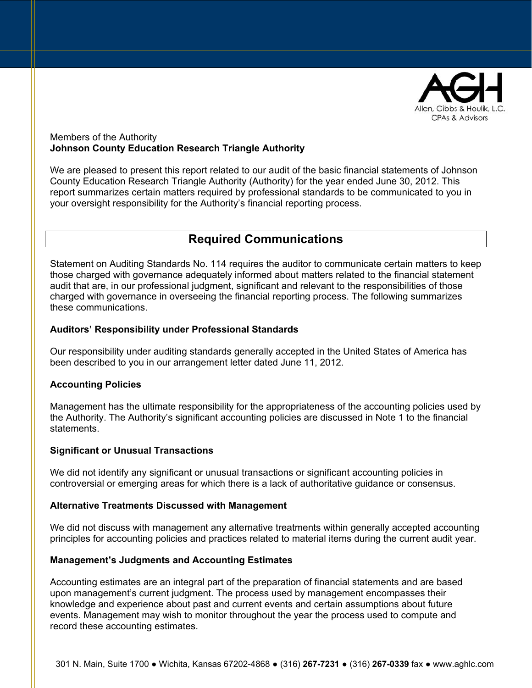

#### Members of the Authority **Johnson County Education Research Triangle Authority**

We are pleased to present this report related to our audit of the basic financial statements of Johnson County Education Research Triangle Authority (Authority) for the year ended June 30, 2012. This report summarizes certain matters required by professional standards to be communicated to you in your oversight responsibility for the Authority's financial reporting process.

# **Required Communications**

Statement on Auditing Standards No. 114 requires the auditor to communicate certain matters to keep those charged with governance adequately informed about matters related to the financial statement audit that are, in our professional judgment, significant and relevant to the responsibilities of those charged with governance in overseeing the financial reporting process. The following summarizes these communications.

## **Auditors' Responsibility under Professional Standards**

Our responsibility under auditing standards generally accepted in the United States of America has been described to you in our arrangement letter dated June 11, 2012.

## **Accounting Policies**

Management has the ultimate responsibility for the appropriateness of the accounting policies used by the Authority. The Authority's significant accounting policies are discussed in Note 1 to the financial statements.

## **Significant or Unusual Transactions**

We did not identify any significant or unusual transactions or significant accounting policies in controversial or emerging areas for which there is a lack of authoritative guidance or consensus.

## **Alternative Treatments Discussed with Management**

We did not discuss with management any alternative treatments within generally accepted accounting principles for accounting policies and practices related to material items during the current audit year.

#### **Management's Judgments and Accounting Estimates**

Accounting estimates are an integral part of the preparation of financial statements and are based upon management's current judgment. The process used by management encompasses their knowledge and experience about past and current events and certain assumptions about future events. Management may wish to monitor throughout the year the process used to compute and record these accounting estimates.